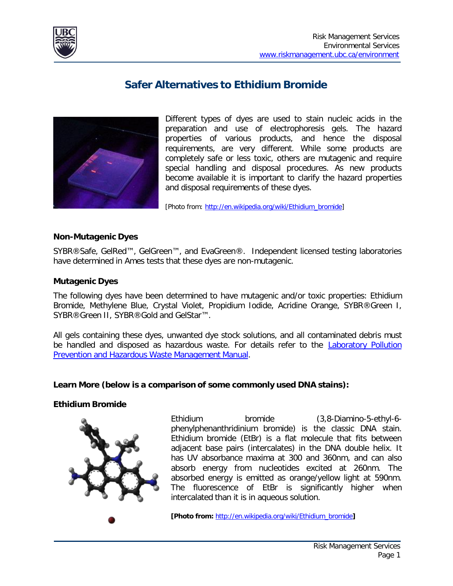

# **Safer Alternatives to Ethidium Bromide**



Different types of dyes are used to stain nucleic acids in the preparation and use of electrophoresis gels. The hazard properties of various products, and hence the disposal requirements, are very different. While some products are completely safe or less toxic, others are mutagenic and require special handling and disposal procedures. As new products become available it is important to clarify the hazard properties and disposal requirements of these dyes.

[Photo from: [http://en.wikipedia.org/wiki/Ethidium\\_bromide\]](http://en.wikipedia.org/wiki/Ethidium_bromide)

#### **Non-Mutagenic Dyes**

SYBR®Safe, GelRed™, GelGreen™, and EvaGreen®. Independent licensed testing laboratories have determined in Ames tests that these dyes are non-mutagenic.

#### **Mutagenic Dyes**

The following dyes have been determined to have mutagenic and/or toxic properties: Ethidium Bromide, Methylene Blue, Crystal Violet, Propidium Iodide, Acridine Orange, SYBR®Green I, SYBR®Green II, SYBR®Gold and GelStar™.

All gels containing these dyes, unwanted dye stock solutions, and all contaminated debris must be handled and disposed as hazardous waste. For details refer to the [Laboratory Pollution](http://www.riskmanagement.ubc.ca/environment/pollution-prevention-and-hazardous-waste-management-manual) Prevention and Hazardous Waste [Management](http://www.riskmanagement.ubc.ca/environment/pollution-prevention-and-hazardous-waste-management-manual) Manual.

#### **Learn More (below is a comparison of some commonly used DNA stains):**

#### **Ethidium Bromide**



Ethidium bromide (3,8-Diamino-5-ethyl-6 phenylphenanthridinium bromide) is the classic DNA stain. Ethidium bromide (EtBr) is a flat molecule that fits between adjacent base pairs (intercalates) in the DNA double helix. It has UV absorbance maxima at 300 and 360nm, and can also absorb energy from nucleotides excited at 260nm. The absorbed energy is emitted as orange/yellow light at 590nm. The fluorescence of EtBr is significantly higher when intercalated than it is in aqueous solution.

**[Photo from:** [http://en.wikipedia.org/wiki/Ethidium\\_bromide](http://en.wikipedia.org/wiki/Ethidium_bromide)**]**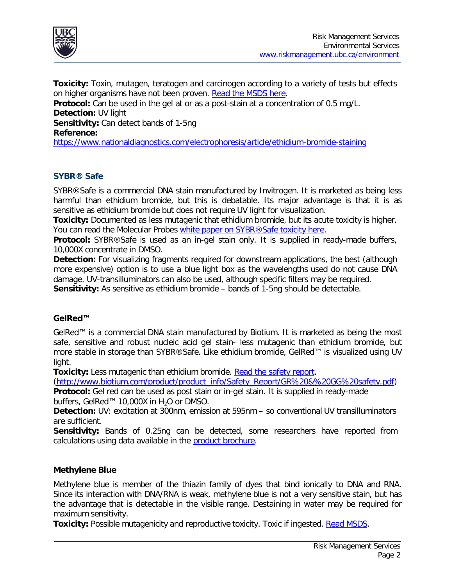

**Toxicity:** Toxin, mutagen, teratogen and carcinogen according to a variety of tests but effects on higher organisms have not been proven. Read the [MSDS](http://www.sigmaaldrich.com/MSDS/MSDS/DisplayMSDSPage.do?country=CA&language=en&productNumber=E7637&brand=SIGMA&PageToGoToURL=http%3A%2F%2Fwww.sigmaaldrich.com%2Fcatalog%2Fproduct%2Fsigma%2Fe7637%3Flang%3Den) here. **Protocol:** Can be used in the gel at or as a post-stain at a concentration of 0.5 mg/L.

**Detection:** UV light **Sensitivity:** Can detect bands of 1-5ng **Reference:**

<https://www.nationaldiagnostics.com/electrophoresis/article/ethidium-bromide-staining>

### **SYBR® Safe**

SYBR®Safe is a commercial DNA stain manufactured by Invitrogen. It is marketed as being less harmful than ethidium bromide, but this is debatable. Its major advantage is that it is as sensitive as ethidium bromide but does not require UV light for visualization.

**Toxicity:** Documented as less mutagenic that ethidium bromide, but its acute toxicity is higher. You can read the Molecular Probes white paper on [SYBR®Safe](http://probes.invitrogen.com/media/publications/494.pdf) toxicity here.

**Protocol:** SYBR®Safe is used as an in-gel stain only. It is supplied in ready-made buffers, 10,000X concentrate in DMSO.

**Detection:** For visualizing fragments required for downstream applications, the best (although more expensive) option is to use a blue light box as the wavelengths used do not cause DNA damage. UV-transilluminators can also be used, although specific filters may be required. **Sensitivity:** As sensitive as ethidium bromide – bands of 1-5ng should be detectable.

## **GelRed™**

GelRed™ is a commercial DNA stain manufactured by Biotium. It is marketed as being the most safe, sensitive and robust nucleic acid gel stain- less mutagenic than ethidium bromide, but more stable in storage than SYBR®Safe. Like ethidium bromide, GelRed™ is visualized using UV light.

**Toxicity:** Less mutagenic than ethidium bromide. Read the safety [report.](http://www.biotium.com/product/product_info/Safety_Report/GR%20%26%20GG%20safety.pdf)

[\(http://www.biotium.com/product/product\\_info/Safety\\_Report/GR%20&%20GG%20safety.pdf\)](http://www.biotium.com/product/product_info/Safety_Report/GR%20%26%20GG%20safety.pdf) **Protocol:** Gel red can be used as post stain or in-gel stain. It is supplied in ready-made

buffers, GelRed™ 10,000X in  $H_2O$  or DMSO.

**Detection:** UV: excitation at 300nm, emission at 595nm – so conventional UV transilluminators are sufficient.

**Sensitivity:** Bands of 0.25ng can be detected, some researchers have reported from calculations using data available in the product [brochure.](http://www.biotium.com/product/product_info/flyer/GelRed%20%26%20GelGreen%20Flyer.pdf)

## **Methylene Blue**

Methylene blue is member of the thiazin family of dyes that bind ionically to DNA and RNA. Since its interaction with DNA/RNA is weak, methylene blue is not a very sensitive stain, but has the advantage that is detectable in the visible range. Destaining in water may be required for maximum sensitivity.

**Toxicity:** Possible mutagenicity and reproductive toxicity. Toxic if ingested. Read [MSDS.](http://cancer.rutgers.edu/stg_lab/protocols/MSDS/methylene%20blue.pdf)